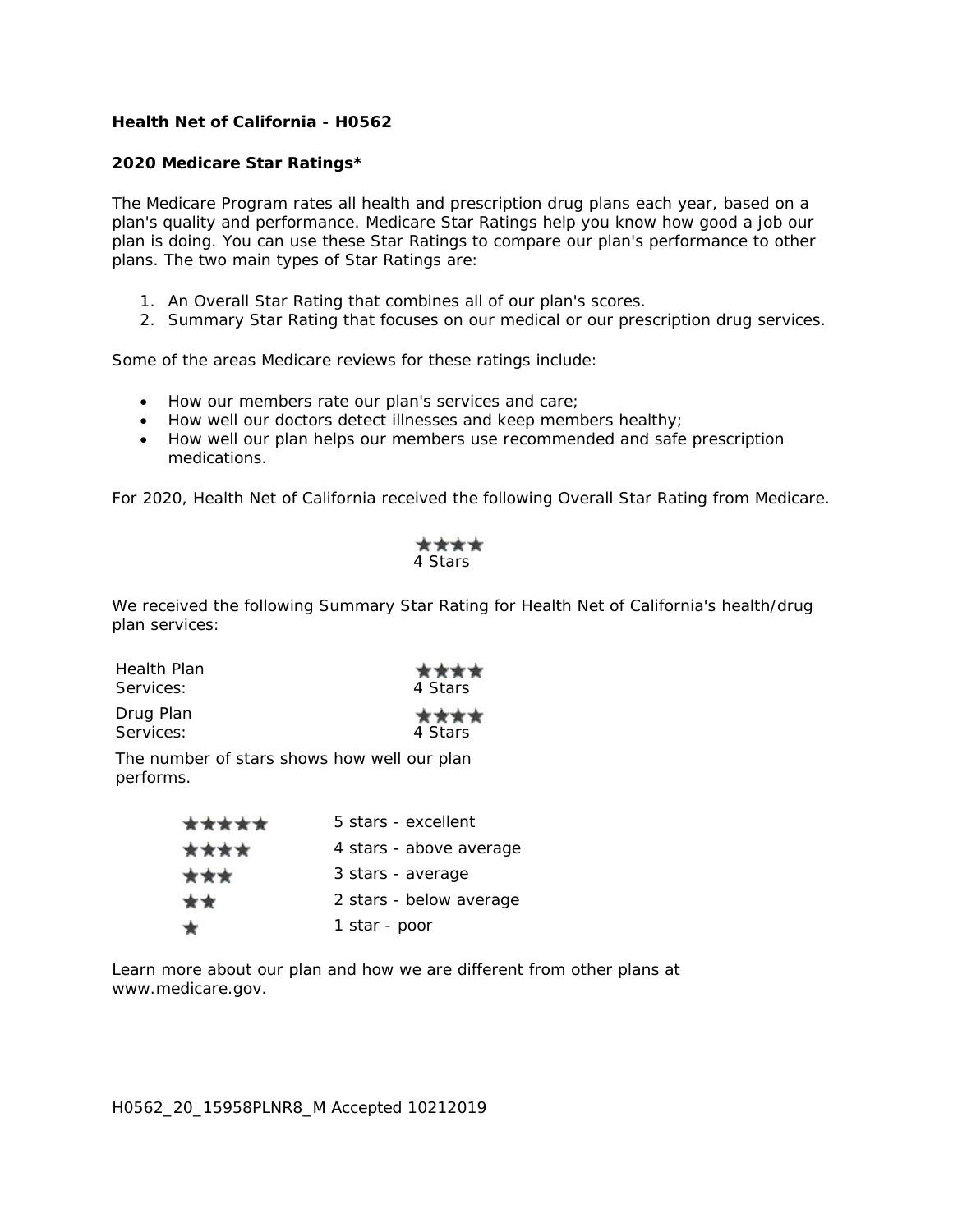## **Health Net of California - H0562**

## **2020 Medicare Star Ratings\***

The Medicare Program rates all health and prescription drug plans each year, based on a plan's quality and performance. Medicare Star Ratings help you know how good a job our plan is doing. You can use these Star Ratings to compare our plan's performance to other plans. The two main types of Star Ratings are:

- 1. An Overall Star Rating that combines all of our plan's scores.
- 2. Summary Star Rating that focuses on our medical or our prescription drug services.

Some of the areas Medicare reviews for these ratings include:

- How our members rate our plan's services and care;
- How well our doctors detect illnesses and keep members healthy;
- How well our plan helps our members use recommended and safe prescription medications.

For 2020, Health Net of California received the following Overall Star Rating from Medicare.

| 4 Stars |
|---------|

We received the following Summary Star Rating for Health Net of California's health/drug plan services:

| Health Plan | ****    |
|-------------|---------|
| Services:   | 4 Stars |
| Drug Plan   | ****    |
| Services:   | 4 Stars |

The number of stars shows how well our plan performs.

| ***** | 5 stars - excellent     |
|-------|-------------------------|
| ****  | 4 stars - above average |
| ***   | 3 stars - average       |
| **    | 2 stars - below average |
|       | 1 star - poor           |

Learn more about our plan and how we are different from other plans at www.medicare.gov.

H0562\_20\_15958PLNR8\_M Accepted 10212019